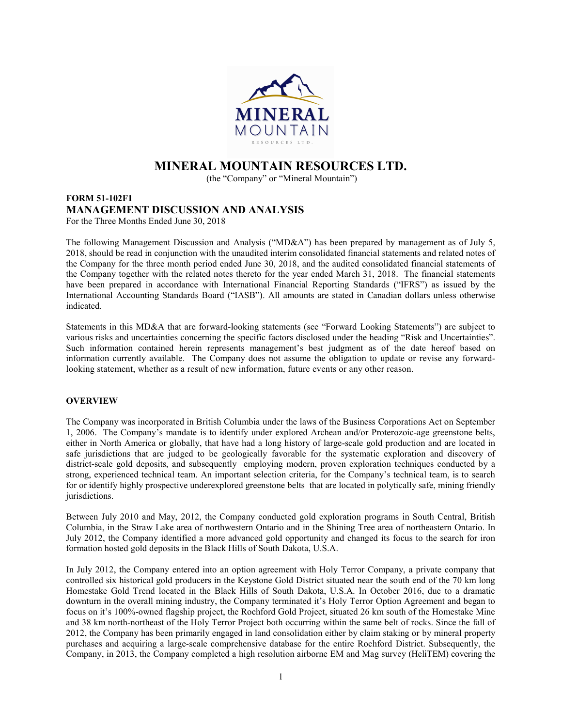

# MINERAL MOUNTAIN RESOURCES LTD.

(the "Company" or "Mineral Mountain")

# FORM 51-102F1 MANAGEMENT DISCUSSION AND ANALYSIS For the Three Months Ended June 30, 2018

The following Management Discussion and Analysis ("MD&A") has been prepared by management as of July 5, 2018, should be read in conjunction with the unaudited interim consolidated financial statements and related notes of the Company for the three month period ended June 30, 2018, and the audited consolidated financial statements of the Company together with the related notes thereto for the year ended March 31, 2018. The financial statements have been prepared in accordance with International Financial Reporting Standards ("IFRS") as issued by the International Accounting Standards Board ("IASB"). All amounts are stated in Canadian dollars unless otherwise indicated.

Statements in this MD&A that are forward-looking statements (see "Forward Looking Statements") are subject to various risks and uncertainties concerning the specific factors disclosed under the heading "Risk and Uncertainties". Such information contained herein represents management's best judgment as of the date hereof based on information currently available. The Company does not assume the obligation to update or revise any forwardlooking statement, whether as a result of new information, future events or any other reason.

# **OVERVIEW**

The Company was incorporated in British Columbia under the laws of the Business Corporations Act on September 1, 2006. The Company's mandate is to identify under explored Archean and/or Proterozoic-age greenstone belts, either in North America or globally, that have had a long history of large-scale gold production and are located in safe jurisdictions that are judged to be geologically favorable for the systematic exploration and discovery of district-scale gold deposits, and subsequently employing modern, proven exploration techniques conducted by a strong, experienced technical team. An important selection criteria, for the Company's technical team, is to search for or identify highly prospective underexplored greenstone belts that are located in polytically safe, mining friendly jurisdictions.

Between July 2010 and May, 2012, the Company conducted gold exploration programs in South Central, British Columbia, in the Straw Lake area of northwestern Ontario and in the Shining Tree area of northeastern Ontario. In July 2012, the Company identified a more advanced gold opportunity and changed its focus to the search for iron formation hosted gold deposits in the Black Hills of South Dakota, U.S.A.

In July 2012, the Company entered into an option agreement with Holy Terror Company, a private company that controlled six historical gold producers in the Keystone Gold District situated near the south end of the 70 km long Homestake Gold Trend located in the Black Hills of South Dakota, U.S.A. In October 2016, due to a dramatic downturn in the overall mining industry, the Company terminated it's Holy Terror Option Agreement and began to focus on it's 100%-owned flagship project, the Rochford Gold Project, situated 26 km south of the Homestake Mine and 38 km north-northeast of the Holy Terror Project both occurring within the same belt of rocks. Since the fall of 2012, the Company has been primarily engaged in land consolidation either by claim staking or by mineral property purchases and acquiring a large-scale comprehensive database for the entire Rochford District. Subsequently, the Company, in 2013, the Company completed a high resolution airborne EM and Mag survey (HeliTEM) covering the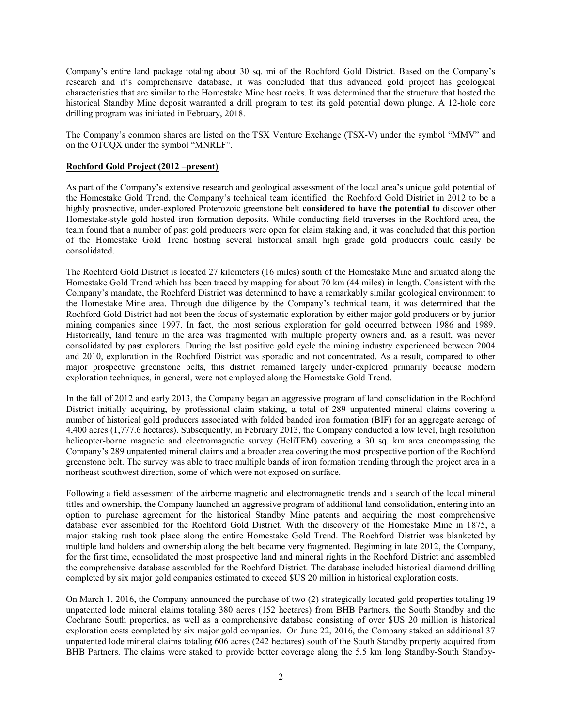Company's entire land package totaling about 30 sq. mi of the Rochford Gold District. Based on the Company's research and it's comprehensive database, it was concluded that this advanced gold project has geological characteristics that are similar to the Homestake Mine host rocks. It was determined that the structure that hosted the historical Standby Mine deposit warranted a drill program to test its gold potential down plunge. A 12-hole core drilling program was initiated in February, 2018.

The Company's common shares are listed on the TSX Venture Exchange (TSX-V) under the symbol "MMV" and on the OTCQX under the symbol "MNRLF".

## Rochford Gold Project (2012 –present)

As part of the Company's extensive research and geological assessment of the local area's unique gold potential of the Homestake Gold Trend, the Company's technical team identified the Rochford Gold District in 2012 to be a highly prospective, under-explored Proterozoic greenstone belt considered to have the potential to discover other Homestake-style gold hosted iron formation deposits. While conducting field traverses in the Rochford area, the team found that a number of past gold producers were open for claim staking and, it was concluded that this portion of the Homestake Gold Trend hosting several historical small high grade gold producers could easily be consolidated.

The Rochford Gold District is located 27 kilometers (16 miles) south of the Homestake Mine and situated along the Homestake Gold Trend which has been traced by mapping for about 70 km (44 miles) in length. Consistent with the Company's mandate, the Rochford District was determined to have a remarkably similar geological environment to the Homestake Mine area. Through due diligence by the Company's technical team, it was determined that the Rochford Gold District had not been the focus of systematic exploration by either major gold producers or by junior mining companies since 1997. In fact, the most serious exploration for gold occurred between 1986 and 1989. Historically, land tenure in the area was fragmented with multiple property owners and, as a result, was never consolidated by past explorers. During the last positive gold cycle the mining industry experienced between 2004 and 2010, exploration in the Rochford District was sporadic and not concentrated. As a result, compared to other major prospective greenstone belts, this district remained largely under-explored primarily because modern exploration techniques, in general, were not employed along the Homestake Gold Trend.

In the fall of 2012 and early 2013, the Company began an aggressive program of land consolidation in the Rochford District initially acquiring, by professional claim staking, a total of 289 unpatented mineral claims covering a number of historical gold producers associated with folded banded iron formation (BIF) for an aggregate acreage of 4,400 acres (1,777.6 hectares). Subsequently, in February 2013, the Company conducted a low level, high resolution helicopter-borne magnetic and electromagnetic survey (HeliTEM) covering a 30 sq. km area encompassing the Company's 289 unpatented mineral claims and a broader area covering the most prospective portion of the Rochford greenstone belt. The survey was able to trace multiple bands of iron formation trending through the project area in a northeast southwest direction, some of which were not exposed on surface.

Following a field assessment of the airborne magnetic and electromagnetic trends and a search of the local mineral titles and ownership, the Company launched an aggressive program of additional land consolidation, entering into an option to purchase agreement for the historical Standby Mine patents and acquiring the most comprehensive database ever assembled for the Rochford Gold District. With the discovery of the Homestake Mine in 1875, a major staking rush took place along the entire Homestake Gold Trend. The Rochford District was blanketed by multiple land holders and ownership along the belt became very fragmented. Beginning in late 2012, the Company, for the first time, consolidated the most prospective land and mineral rights in the Rochford District and assembled the comprehensive database assembled for the Rochford District. The database included historical diamond drilling completed by six major gold companies estimated to exceed \$US 20 million in historical exploration costs.

On March 1, 2016, the Company announced the purchase of two (2) strategically located gold properties totaling 19 unpatented lode mineral claims totaling 380 acres (152 hectares) from BHB Partners, the South Standby and the Cochrane South properties, as well as a comprehensive database consisting of over \$US 20 million is historical exploration costs completed by six major gold companies. On June 22, 2016, the Company staked an additional 37 unpatented lode mineral claims totaling 606 acres (242 hectares) south of the South Standby property acquired from BHB Partners. The claims were staked to provide better coverage along the 5.5 km long Standby-South Standby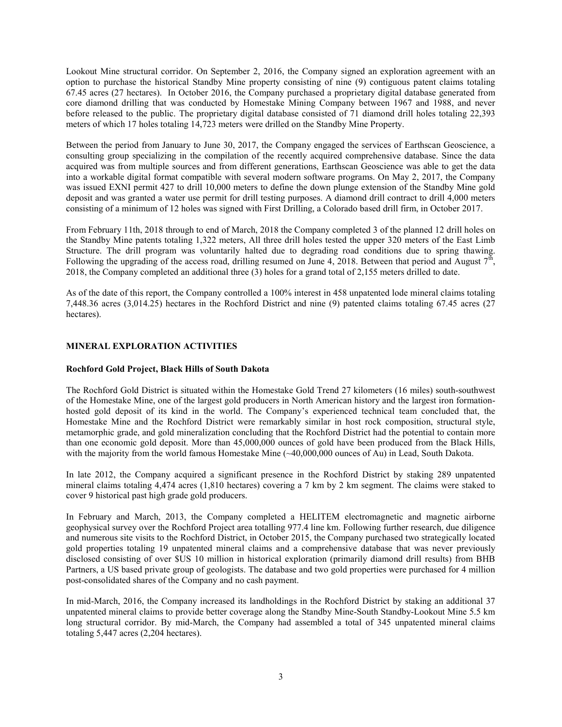Lookout Mine structural corridor. On September 2, 2016, the Company signed an exploration agreement with an option to purchase the historical Standby Mine property consisting of nine (9) contiguous patent claims totaling 67.45 acres (27 hectares). In October 2016, the Company purchased a proprietary digital database generated from core diamond drilling that was conducted by Homestake Mining Company between 1967 and 1988, and never before released to the public. The proprietary digital database consisted of 71 diamond drill holes totaling 22,393 meters of which 17 holes totaling 14,723 meters were drilled on the Standby Mine Property.

Between the period from January to June 30, 2017, the Company engaged the services of Earthscan Geoscience, a consulting group specializing in the compilation of the recently acquired comprehensive database. Since the data acquired was from multiple sources and from different generations, Earthscan Geoscience was able to get the data into a workable digital format compatible with several modern software programs. On May 2, 2017, the Company was issued EXNI permit 427 to drill 10,000 meters to define the down plunge extension of the Standby Mine gold deposit and was granted a water use permit for drill testing purposes. A diamond drill contract to drill 4,000 meters consisting of a minimum of 12 holes was signed with First Drilling, a Colorado based drill firm, in October 2017.

From February 11th, 2018 through to end of March, 2018 the Company completed 3 of the planned 12 drill holes on the Standby Mine patents totaling 1,322 meters, All three drill holes tested the upper 320 meters of the East Limb Structure. The drill program was voluntarily halted due to degrading road conditions due to spring thawing. Following the upgrading of the access road, drilling resumed on June 4, 2018. Between that period and August  $7^{\text{th}}$ , 2018, the Company completed an additional three (3) holes for a grand total of 2,155 meters drilled to date.

As of the date of this report, the Company controlled a 100% interest in 458 unpatented lode mineral claims totaling 7,448.36 acres (3,014.25) hectares in the Rochford District and nine (9) patented claims totaling 67.45 acres (27 hectares).

# MINERAL EXPLORATION ACTIVITIES

# Rochford Gold Project, Black Hills of South Dakota

The Rochford Gold District is situated within the Homestake Gold Trend 27 kilometers (16 miles) south-southwest of the Homestake Mine, one of the largest gold producers in North American history and the largest iron formationhosted gold deposit of its kind in the world. The Company's experienced technical team concluded that, the Homestake Mine and the Rochford District were remarkably similar in host rock composition, structural style, metamorphic grade, and gold mineralization concluding that the Rochford District had the potential to contain more than one economic gold deposit. More than 45,000,000 ounces of gold have been produced from the Black Hills, with the majority from the world famous Homestake Mine (~40,000,000 ounces of Au) in Lead, South Dakota.

In late 2012, the Company acquired a significant presence in the Rochford District by staking 289 unpatented mineral claims totaling 4,474 acres (1,810 hectares) covering a 7 km by 2 km segment. The claims were staked to cover 9 historical past high grade gold producers.

In February and March, 2013, the Company completed a HELITEM electromagnetic and magnetic airborne geophysical survey over the Rochford Project area totalling 977.4 line km. Following further research, due diligence and numerous site visits to the Rochford District, in October 2015, the Company purchased two strategically located gold properties totaling 19 unpatented mineral claims and a comprehensive database that was never previously disclosed consisting of over \$US 10 million in historical exploration (primarily diamond drill results) from BHB Partners, a US based private group of geologists. The database and two gold properties were purchased for 4 million post-consolidated shares of the Company and no cash payment.

In mid-March, 2016, the Company increased its landholdings in the Rochford District by staking an additional 37 unpatented mineral claims to provide better coverage along the Standby Mine-South Standby-Lookout Mine 5.5 km long structural corridor. By mid-March, the Company had assembled a total of 345 unpatented mineral claims totaling 5,447 acres (2,204 hectares).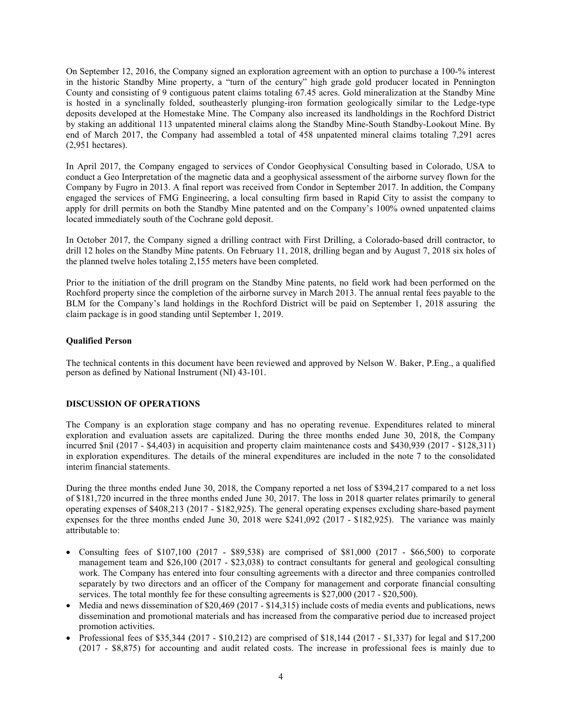On September 12, 2016, the Company signed an exploration agreement with an option to purchase a 100-% interest in the historic Standby Mine property, a "turn of the century" high grade gold producer located in Pennington County and consisting of 9 contiguous patent claims totaling 67.45 acres. Gold mineralization at the Standby Mine is hosted in a synclinally folded, southeasterly plunging-iron formation geologically similar to the Ledge-type deposits developed at the Homestake Mine. The Company also increased its landholdings in the Rochford District by staking an additional 113 unpatented mineral claims along the Standby Mine-South Standby-Lookout Mine. By end of March 2017, the Company had assembled a total of 458 unpatented mineral claims totaling 7,291 acres (2,951 hectares).

In April 2017, the Company engaged to services of Condor Geophysical Consulting based in Colorado, USA to conduct a Geo Interpretation of the magnetic data and a geophysical assessment of the airborne survey flown for the Company by Fugro in 2013. A final report was received from Condor in September 2017. In addition, the Company engaged the services of FMG Engineering, a local consulting firm based in Rapid City to assist the company to apply for drill permits on both the Standby Mine patented and on the Company's 100% owned unpatented claims located immediately south of the Cochrane gold deposit.

In October 2017, the Company signed a drilling contract with First Drilling, a Colorado-based drill contractor, to drill 12 holes on the Standby Mine patents. On February 11, 2018, drilling began and by August 7, 2018 six holes of the planned twelve holes totaling 2,155 meters have been completed.

Prior to the initiation of the drill program on the Standby Mine patents, no field work had been performed on the Rochford property since the completion of the airborne survey in March 2013. The annual rental fees payable to the BLM for the Company's land holdings in the Rochford District will be paid on September 1, 2018 assuring the claim package is in good standing until September 1, 2019.

### Qualified Person

The technical contents in this document have been reviewed and approved by Nelson W. Baker, P.Eng., a qualified person as defined by National Instrument (NI) 43-101.

# DISCUSSION OF OPERATIONS

The Company is an exploration stage company and has no operating revenue. Expenditures related to mineral exploration and evaluation assets are capitalized. During the three months ended June 30, 2018, the Company incurred \$nil (2017 - \$4,403) in acquisition and property claim maintenance costs and \$430,939 (2017 - \$128,311) in exploration expenditures. The details of the mineral expenditures are included in the note 7 to the consolidated interim financial statements.

During the three months ended June 30, 2018, the Company reported a net loss of \$394,217 compared to a net loss of \$181,720 incurred in the three months ended June 30, 2017. The loss in 2018 quarter relates primarily to general operating expenses of \$408,213 (2017 - \$182,925). The general operating expenses excluding share-based payment expenses for the three months ended June 30, 2018 were \$241,092 (2017 - \$182,925). The variance was mainly attributable to:

- Consulting fees of  $$107,100$  (2017 \$89,538) are comprised of \$81,000 (2017 \$66,500) to corporate management team and \$26,100 (2017 - \$23,038) to contract consultants for general and geological consulting work. The Company has entered into four consulting agreements with a director and three companies controlled separately by two directors and an officer of the Company for management and corporate financial consulting services. The total monthly fee for these consulting agreements is \$27,000 (2017 - \$20,500).
- $\bullet$  Media and news dissemination of \$20,469 (2017 \$14,315) include costs of media events and publications, news dissemination and promotional materials and has increased from the comparative period due to increased project promotion activities.
- Professional fees of \$35,344 (2017 \$10,212) are comprised of  $$18,144$  (2017 \$1,337) for legal and \$17,200 (2017 - \$8,875) for accounting and audit related costs. The increase in professional fees is mainly due to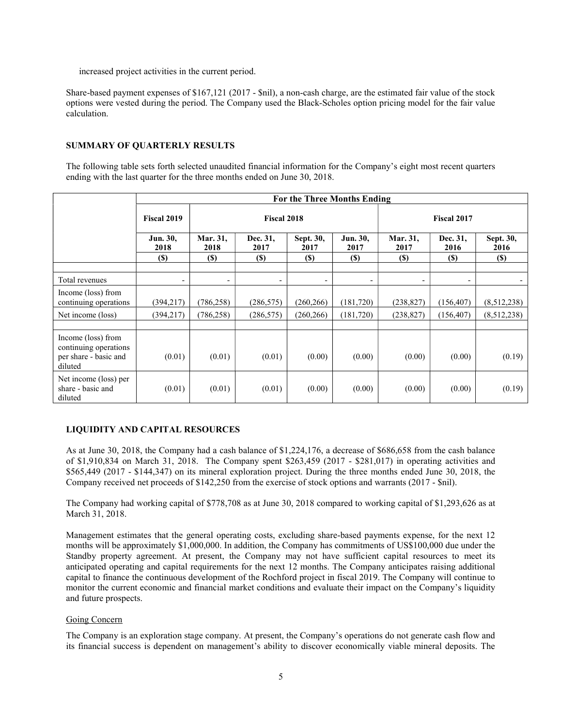increased project activities in the current period.

Share-based payment expenses of \$167,121 (2017 - \$nil), a non-cash charge, are the estimated fair value of the stock options were vested during the period. The Company used the Black-Scholes option pricing model for the fair value calculation.

### SUMMARY OF QUARTERLY RESULTS

The following table sets forth selected unaudited financial information for the Company's eight most recent quarters ending with the last quarter for the three months ended on June 30, 2018.

|                                                                                 | For the Three Months Ending |                          |                          |                   |                          |                          |                          |                            |  |  |
|---------------------------------------------------------------------------------|-----------------------------|--------------------------|--------------------------|-------------------|--------------------------|--------------------------|--------------------------|----------------------------|--|--|
|                                                                                 | <b>Fiscal 2019</b>          | <b>Fiscal 2018</b>       |                          |                   |                          | <b>Fiscal 2017</b>       |                          |                            |  |  |
|                                                                                 | Jun. 30,<br>2018            | Mar. 31,<br>2018         | Dec. 31,<br>2017         | Sept. 30,<br>2017 | Jun. 30,<br>2017         | Mar. 31,<br>2017         | Dec. 31,<br>2016         | Sept. 30,<br>2016          |  |  |
|                                                                                 | <b>(S)</b>                  | <b>(\$)</b>              | <b>(\$)</b>              | <b>(\$)</b>       | <b>(\$)</b>              | <b>(\$)</b>              | <b>(S)</b>               | $\left( \mathbb{S}\right)$ |  |  |
|                                                                                 |                             |                          |                          |                   |                          |                          |                          |                            |  |  |
| Total revenues                                                                  | -                           | $\overline{\phantom{0}}$ | $\overline{\phantom{0}}$ | -                 | $\overline{\phantom{a}}$ | $\overline{\phantom{a}}$ | $\overline{\phantom{a}}$ |                            |  |  |
| Income (loss) from<br>continuing operations                                     | (394,217)                   | (786, 258)               | (286, 575)               | (260, 266)        | (181,720)                | (238, 827)               | (156, 407)               | (8,512,238)                |  |  |
| Net income (loss)                                                               | (394, 217)                  | (786, 258)               | (286, 575)               | (260, 266)        | (181, 720)               | (238, 827)               | (156, 407)               | (8,512,238)                |  |  |
|                                                                                 |                             |                          |                          |                   |                          |                          |                          |                            |  |  |
| Income (loss) from<br>continuing operations<br>per share - basic and<br>diluted | (0.01)                      | (0.01)                   | (0.01)                   | (0.00)            | (0.00)                   | (0.00)                   | (0.00)                   | (0.19)                     |  |  |
| Net income (loss) per<br>share - basic and<br>diluted                           | (0.01)                      | (0.01)                   | (0.01)                   | (0.00)            | (0.00)                   | (0.00)                   | (0.00)                   | (0.19)                     |  |  |

# LIQUIDITY AND CAPITAL RESOURCES

As at June 30, 2018, the Company had a cash balance of \$1,224,176, a decrease of \$686,658 from the cash balance of \$1,910,834 on March 31, 2018. The Company spent \$263,459 (2017 - \$281,017) in operating activities and \$565,449 (2017 - \$144,347) on its mineral exploration project. During the three months ended June 30, 2018, the Company received net proceeds of \$142,250 from the exercise of stock options and warrants (2017 - \$nil).

The Company had working capital of \$778,708 as at June 30, 2018 compared to working capital of \$1,293,626 as at March 31, 2018.

Management estimates that the general operating costs, excluding share-based payments expense, for the next 12 months will be approximately \$1,000,000. In addition, the Company has commitments of US\$100,000 due under the Standby property agreement. At present, the Company may not have sufficient capital resources to meet its anticipated operating and capital requirements for the next 12 months. The Company anticipates raising additional capital to finance the continuous development of the Rochford project in fiscal 2019. The Company will continue to monitor the current economic and financial market conditions and evaluate their impact on the Company's liquidity and future prospects.

#### Going Concern

The Company is an exploration stage company. At present, the Company's operations do not generate cash flow and its financial success is dependent on management's ability to discover economically viable mineral deposits. The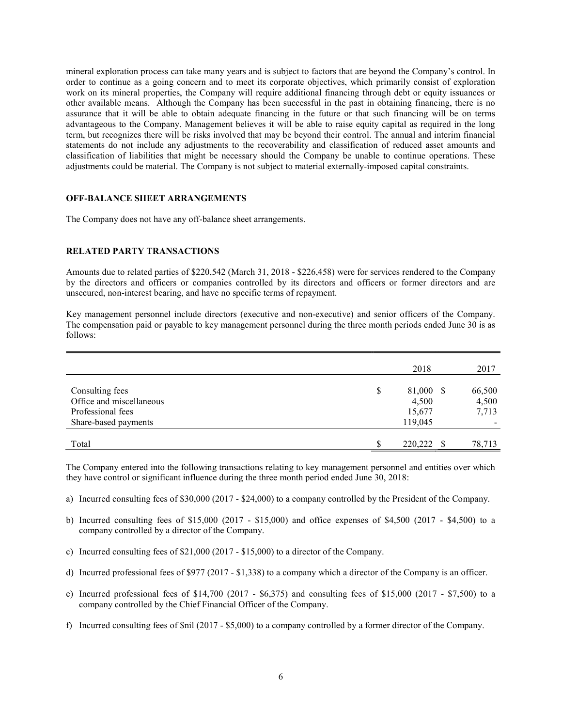mineral exploration process can take many years and is subject to factors that are beyond the Company's control. In order to continue as a going concern and to meet its corporate objectives, which primarily consist of exploration work on its mineral properties, the Company will require additional financing through debt or equity issuances or other available means. Although the Company has been successful in the past in obtaining financing, there is no assurance that it will be able to obtain adequate financing in the future or that such financing will be on terms advantageous to the Company. Management believes it will be able to raise equity capital as required in the long term, but recognizes there will be risks involved that may be beyond their control. The annual and interim financial statements do not include any adjustments to the recoverability and classification of reduced asset amounts and classification of liabilities that might be necessary should the Company be unable to continue operations. These adjustments could be material. The Company is not subject to material externally-imposed capital constraints.

### OFF-BALANCE SHEET ARRANGEMENTS

The Company does not have any off-balance sheet arrangements.

#### RELATED PARTY TRANSACTIONS

Amounts due to related parties of \$220,542 (March 31, 2018 - \$226,458) were for services rendered to the Company by the directors and officers or companies controlled by its directors and officers or former directors and are unsecured, non-interest bearing, and have no specific terms of repayment.

Key management personnel include directors (executive and non-executive) and senior officers of the Company. The compensation paid or payable to key management personnel during the three month periods ended June 30 is as follows:

|                          |     | 2018      | 2017   |
|--------------------------|-----|-----------|--------|
| Consulting fees          | S   | 81,000 \$ | 66,500 |
| Office and miscellaneous |     | 4,500     | 4,500  |
| Professional fees        |     | 15,677    | 7,713  |
| Share-based payments     |     | 119,045   |        |
|                          |     |           |        |
| Total                    | \$. | 220,222   | 78,713 |

The Company entered into the following transactions relating to key management personnel and entities over which they have control or significant influence during the three month period ended June 30, 2018:

- a) Incurred consulting fees of \$30,000 (2017 \$24,000) to a company controlled by the President of the Company.
- b) Incurred consulting fees of \$15,000 (2017 \$15,000) and office expenses of \$4,500 (2017 \$4,500) to a company controlled by a director of the Company.
- c) Incurred consulting fees of \$21,000 (2017 \$15,000) to a director of the Company.
- d) Incurred professional fees of \$977 (2017 \$1,338) to a company which a director of the Company is an officer.
- e) Incurred professional fees of \$14,700 (2017 \$6,375) and consulting fees of \$15,000 (2017 \$7,500) to a company controlled by the Chief Financial Officer of the Company.
- f) Incurred consulting fees of \$nil (2017 \$5,000) to a company controlled by a former director of the Company.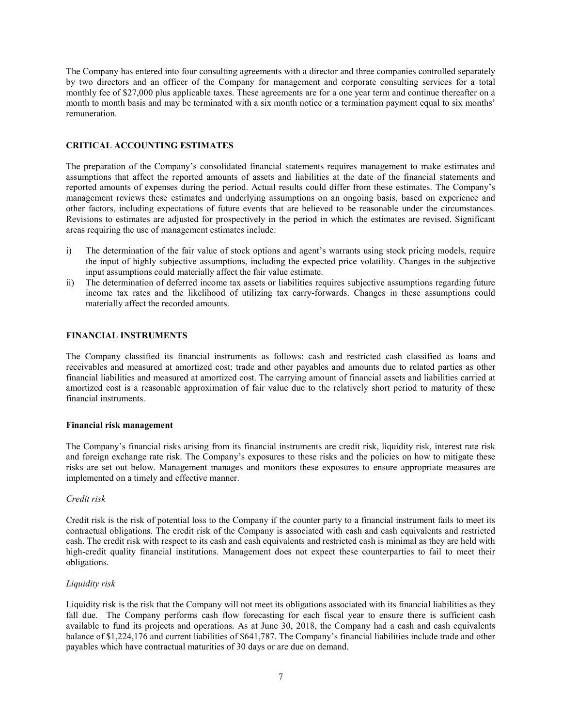The Company has entered into four consulting agreements with a director and three companies controlled separately by two directors and an officer of the Company for management and corporate consulting services for a total monthly fee of \$27,000 plus applicable taxes. These agreements are for a one year term and continue thereafter on a month to month basis and may be terminated with a six month notice or a termination payment equal to six months' remuneration.

## CRITICAL ACCOUNTING ESTIMATES

The preparation of the Company's consolidated financial statements requires management to make estimates and assumptions that affect the reported amounts of assets and liabilities at the date of the financial statements and reported amounts of expenses during the period. Actual results could differ from these estimates. The Company's management reviews these estimates and underlying assumptions on an ongoing basis, based on experience and other factors, including expectations of future events that are believed to be reasonable under the circumstances. Revisions to estimates are adjusted for prospectively in the period in which the estimates are revised. Significant areas requiring the use of management estimates include:

- i) The determination of the fair value of stock options and agent's warrants using stock pricing models, require the input of highly subjective assumptions, including the expected price volatility. Changes in the subjective input assumptions could materially affect the fair value estimate.
- ii) The determination of deferred income tax assets or liabilities requires subjective assumptions regarding future income tax rates and the likelihood of utilizing tax carry-forwards. Changes in these assumptions could materially affect the recorded amounts.

# FINANCIAL INSTRUMENTS

The Company classified its financial instruments as follows: cash and restricted cash classified as loans and receivables and measured at amortized cost; trade and other payables and amounts due to related parties as other financial liabilities and measured at amortized cost. The carrying amount of financial assets and liabilities carried at amortized cost is a reasonable approximation of fair value due to the relatively short period to maturity of these financial instruments.

#### Financial risk management

The Company's financial risks arising from its financial instruments are credit risk, liquidity risk, interest rate risk and foreign exchange rate risk. The Company's exposures to these risks and the policies on how to mitigate these risks are set out below. Management manages and monitors these exposures to ensure appropriate measures are implemented on a timely and effective manner.

#### Credit risk

Credit risk is the risk of potential loss to the Company if the counter party to a financial instrument fails to meet its contractual obligations. The credit risk of the Company is associated with cash and cash equivalents and restricted cash. The credit risk with respect to its cash and cash equivalents and restricted cash is minimal as they are held with high-credit quality financial institutions. Management does not expect these counterparties to fail to meet their obligations.

#### Liquidity risk

Liquidity risk is the risk that the Company will not meet its obligations associated with its financial liabilities as they fall due. The Company performs cash flow forecasting for each fiscal year to ensure there is sufficient cash available to fund its projects and operations. As at June 30, 2018, the Company had a cash and cash equivalents balance of \$1,224,176 and current liabilities of \$641,787. The Company's financial liabilities include trade and other payables which have contractual maturities of 30 days or are due on demand.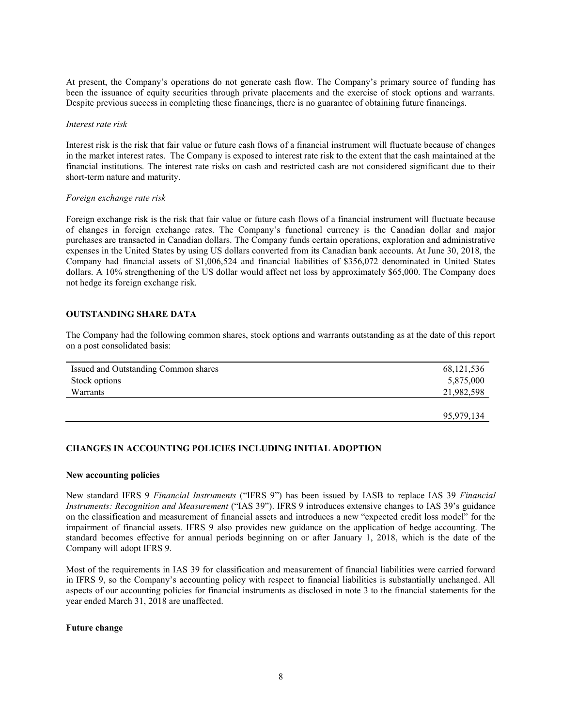At present, the Company's operations do not generate cash flow. The Company's primary source of funding has been the issuance of equity securities through private placements and the exercise of stock options and warrants. Despite previous success in completing these financings, there is no guarantee of obtaining future financings.

#### Interest rate risk

Interest risk is the risk that fair value or future cash flows of a financial instrument will fluctuate because of changes in the market interest rates. The Company is exposed to interest rate risk to the extent that the cash maintained at the financial institutions. The interest rate risks on cash and restricted cash are not considered significant due to their short-term nature and maturity.

#### Foreign exchange rate risk

Foreign exchange risk is the risk that fair value or future cash flows of a financial instrument will fluctuate because of changes in foreign exchange rates. The Company's functional currency is the Canadian dollar and major purchases are transacted in Canadian dollars. The Company funds certain operations, exploration and administrative expenses in the United States by using US dollars converted from its Canadian bank accounts. At June 30, 2018, the Company had financial assets of \$1,006,524 and financial liabilities of \$356,072 denominated in United States dollars. A 10% strengthening of the US dollar would affect net loss by approximately \$65,000. The Company does not hedge its foreign exchange risk.

### OUTSTANDING SHARE DATA

The Company had the following common shares, stock options and warrants outstanding as at the date of this report on a post consolidated basis:

| Issued and Outstanding Common shares | 68, 121, 536 |
|--------------------------------------|--------------|
| Stock options                        | 5,875,000    |
| Warrants                             | 21,982,598   |
|                                      |              |
|                                      | 95,979,134   |

### CHANGES IN ACCOUNTING POLICIES INCLUDING INITIAL ADOPTION

#### New accounting policies

New standard IFRS 9 Financial Instruments ("IFRS 9") has been issued by IASB to replace IAS 39 Financial Instruments: Recognition and Measurement ("IAS 39"). IFRS 9 introduces extensive changes to IAS 39's guidance on the classification and measurement of financial assets and introduces a new "expected credit loss model" for the impairment of financial assets. IFRS 9 also provides new guidance on the application of hedge accounting. The standard becomes effective for annual periods beginning on or after January 1, 2018, which is the date of the Company will adopt IFRS 9.

Most of the requirements in IAS 39 for classification and measurement of financial liabilities were carried forward in IFRS 9, so the Company's accounting policy with respect to financial liabilities is substantially unchanged. All aspects of our accounting policies for financial instruments as disclosed in note 3 to the financial statements for the year ended March 31, 2018 are unaffected.

#### Future change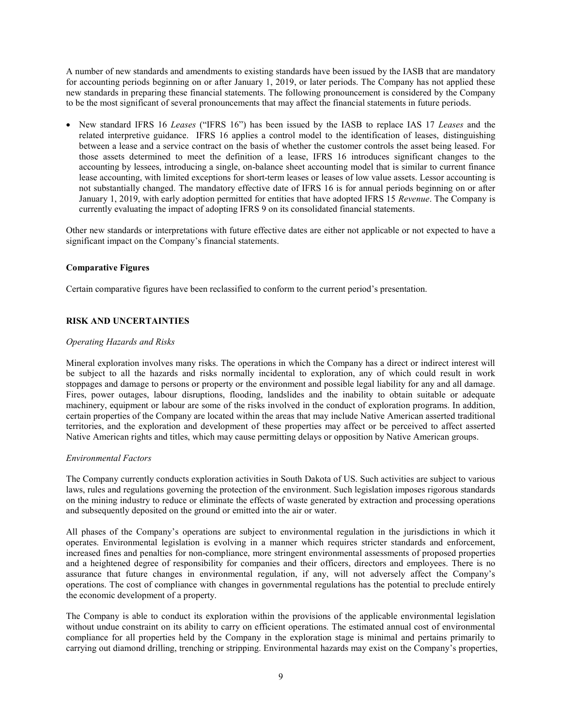A number of new standards and amendments to existing standards have been issued by the IASB that are mandatory for accounting periods beginning on or after January 1, 2019, or later periods. The Company has not applied these new standards in preparing these financial statements. The following pronouncement is considered by the Company to be the most significant of several pronouncements that may affect the financial statements in future periods.

• New standard IFRS 16 Leases ("IFRS 16") has been issued by the IASB to replace IAS 17 Leases and the related interpretive guidance. IFRS 16 applies a control model to the identification of leases, distinguishing between a lease and a service contract on the basis of whether the customer controls the asset being leased. For those assets determined to meet the definition of a lease, IFRS 16 introduces significant changes to the accounting by lessees, introducing a single, on-balance sheet accounting model that is similar to current finance lease accounting, with limited exceptions for short-term leases or leases of low value assets. Lessor accounting is not substantially changed. The mandatory effective date of IFRS 16 is for annual periods beginning on or after January 1, 2019, with early adoption permitted for entities that have adopted IFRS 15 Revenue. The Company is currently evaluating the impact of adopting IFRS 9 on its consolidated financial statements.

Other new standards or interpretations with future effective dates are either not applicable or not expected to have a significant impact on the Company's financial statements.

### Comparative Figures

Certain comparative figures have been reclassified to conform to the current period's presentation.

# RISK AND UNCERTAINTIES

#### Operating Hazards and Risks

Mineral exploration involves many risks. The operations in which the Company has a direct or indirect interest will be subject to all the hazards and risks normally incidental to exploration, any of which could result in work stoppages and damage to persons or property or the environment and possible legal liability for any and all damage. Fires, power outages, labour disruptions, flooding, landslides and the inability to obtain suitable or adequate machinery, equipment or labour are some of the risks involved in the conduct of exploration programs. In addition, certain properties of the Company are located within the areas that may include Native American asserted traditional territories, and the exploration and development of these properties may affect or be perceived to affect asserted Native American rights and titles, which may cause permitting delays or opposition by Native American groups.

#### Environmental Factors

The Company currently conducts exploration activities in South Dakota of US. Such activities are subject to various laws, rules and regulations governing the protection of the environment. Such legislation imposes rigorous standards on the mining industry to reduce or eliminate the effects of waste generated by extraction and processing operations and subsequently deposited on the ground or emitted into the air or water.

All phases of the Company's operations are subject to environmental regulation in the jurisdictions in which it operates. Environmental legislation is evolving in a manner which requires stricter standards and enforcement, increased fines and penalties for non-compliance, more stringent environmental assessments of proposed properties and a heightened degree of responsibility for companies and their officers, directors and employees. There is no assurance that future changes in environmental regulation, if any, will not adversely affect the Company's operations. The cost of compliance with changes in governmental regulations has the potential to preclude entirely the economic development of a property.

The Company is able to conduct its exploration within the provisions of the applicable environmental legislation without undue constraint on its ability to carry on efficient operations. The estimated annual cost of environmental compliance for all properties held by the Company in the exploration stage is minimal and pertains primarily to carrying out diamond drilling, trenching or stripping. Environmental hazards may exist on the Company's properties,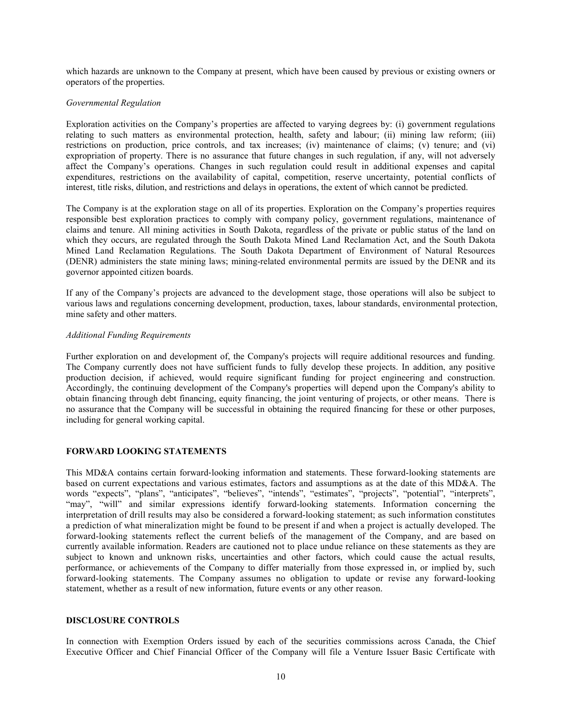which hazards are unknown to the Company at present, which have been caused by previous or existing owners or operators of the properties.

#### Governmental Regulation

Exploration activities on the Company's properties are affected to varying degrees by: (i) government regulations relating to such matters as environmental protection, health, safety and labour; (ii) mining law reform; (iii) restrictions on production, price controls, and tax increases; (iv) maintenance of claims; (v) tenure; and (vi) expropriation of property. There is no assurance that future changes in such regulation, if any, will not adversely affect the Company's operations. Changes in such regulation could result in additional expenses and capital expenditures, restrictions on the availability of capital, competition, reserve uncertainty, potential conflicts of interest, title risks, dilution, and restrictions and delays in operations, the extent of which cannot be predicted.

The Company is at the exploration stage on all of its properties. Exploration on the Company's properties requires responsible best exploration practices to comply with company policy, government regulations, maintenance of claims and tenure. All mining activities in South Dakota, regardless of the private or public status of the land on which they occurs, are regulated through the South Dakota Mined Land Reclamation Act, and the South Dakota Mined Land Reclamation Regulations. The South Dakota Department of Environment of Natural Resources (DENR) administers the state mining laws; mining-related environmental permits are issued by the DENR and its governor appointed citizen boards.

If any of the Company's projects are advanced to the development stage, those operations will also be subject to various laws and regulations concerning development, production, taxes, labour standards, environmental protection, mine safety and other matters.

#### Additional Funding Requirements

Further exploration on and development of, the Company's projects will require additional resources and funding. The Company currently does not have sufficient funds to fully develop these projects. In addition, any positive production decision, if achieved, would require significant funding for project engineering and construction. Accordingly, the continuing development of the Company's properties will depend upon the Company's ability to obtain financing through debt financing, equity financing, the joint venturing of projects, or other means. There is no assurance that the Company will be successful in obtaining the required financing for these or other purposes, including for general working capital.

#### FORWARD LOOKING STATEMENTS

This MD&A contains certain forward‐looking information and statements. These forward-looking statements are based on current expectations and various estimates, factors and assumptions as at the date of this MD&A. The words "expects", "plans", "anticipates", "believes", "intends", "estimates", "projects", "potential", "interprets", "may", "will" and similar expressions identify forward-looking statements. Information concerning the interpretation of drill results may also be considered a forward-looking statement; as such information constitutes a prediction of what mineralization might be found to be present if and when a project is actually developed. The forward-looking statements reflect the current beliefs of the management of the Company, and are based on currently available information. Readers are cautioned not to place undue reliance on these statements as they are subject to known and unknown risks, uncertainties and other factors, which could cause the actual results, performance, or achievements of the Company to differ materially from those expressed in, or implied by, such forward-looking statements. The Company assumes no obligation to update or revise any forward-looking statement, whether as a result of new information, future events or any other reason.

# DISCLOSURE CONTROLS

In connection with Exemption Orders issued by each of the securities commissions across Canada, the Chief Executive Officer and Chief Financial Officer of the Company will file a Venture Issuer Basic Certificate with